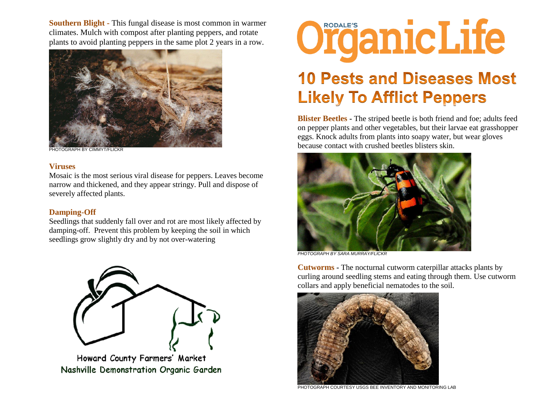**Southern Blight -** This fungal disease is most common in warmer climates. [Mulch with compost](http://www.rodalesorganiclife.com/node/17406) after planting peppers, and rotate plants to avoid planting peppers in the same plot 2 years in a row.



PHOTOGRAPH BY CIMMYT/FLICKR

## **Viruses**

Mosaic is the most [serious viral disease](http://www.rodalesorganiclife.com/node/14826) for [peppers.](http://www.ebay.com/sch/i.html?_nkw=peppers) Leaves become narrow and thickened, and they appear stringy. Pull and dispose of severely affected plants.

## **Damping-Off**

Seedlings that suddenly fall over and rot are most likely affected by damping-off. Prevent this problem by keeping the soil in which seedlings grow slightly dry [and by not over-watering](http://www.rodalesorganiclife.com/node/17351)



Howard County Farmers' Market Nashville Demonstration Organic Garden



## **10 Pests and Diseases Most Likely To Afflict Peppers**

**Blister Beetles -** The striped beetle is both friend and foe; adults feed on pepper plants and other vegetables, but their larvae eat grasshopper eggs. Knock adults from plants into soapy water, but wear gloves because contact with crushed beetles blisters skin.



*PHOTOGRAPH BY SARA MURRAY/FLICKR*

**Cutworms -** The nocturnal [cutworm caterpillar](http://www.rodalesorganiclife.com/node/21406) attacks plants by curling around seedling stems and eating through them. Use cutworm collars and apply beneficial nematodes to the soil.



PHOTOGRAPH COURTESY USGS BEE INVENTORY AND MONITORING LAB